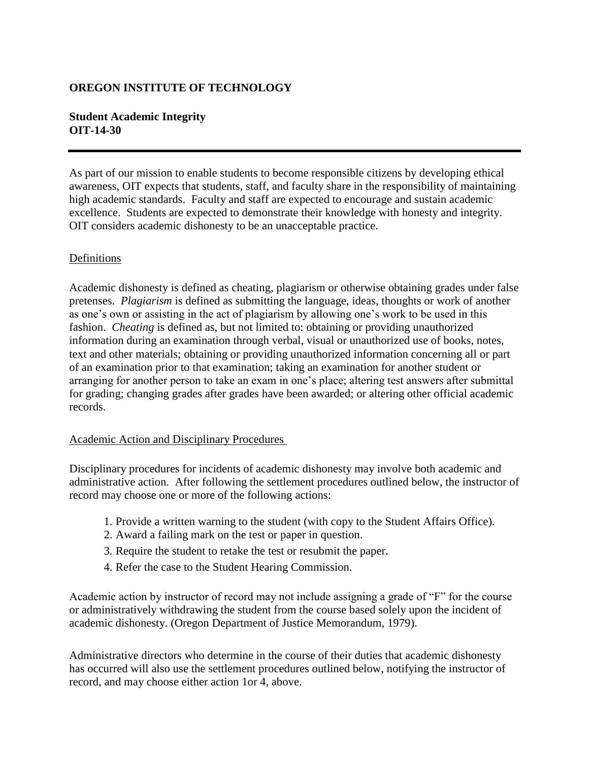# **OREGON INSTITUTE OF TECHNOLOGY**

### **Student Academic Integrity OIT-14-30**

As part of our mission to enable students to become responsible citizens by developing ethical awareness, OIT expects that students, staff, and faculty share in the responsibility of maintaining high academic standards. Faculty and staff are expected to encourage and sustain academic excellence. Students are expected to demonstrate their knowledge with honesty and integrity. OIT considers academic dishonesty to be an unacceptable practice.

# Definitions

Academic dishonesty is defined as cheating, plagiarism or otherwise obtaining grades under false pretenses. *Plagiarism* is defined as submitting the language, ideas, thoughts or work of another as one's own or assisting in the act of plagiarism by allowing one's work to be used in this fashion. *Cheating* is defined as, but not limited to: obtaining or providing unauthorized information during an examination through verbal, visual or unauthorized use of books, notes, text and other materials; obtaining or providing unauthorized information concerning all or part of an examination prior to that examination; taking an examination for another student or arranging for another person to take an exam in one's place; altering test answers after submittal for grading; changing grades after grades have been awarded; or altering other official academic records.

#### Academic Action and Disciplinary Procedures

Disciplinary procedures for incidents of academic dishonesty may involve both academic and administrative action. After following the settlement procedures outlined below, the instructor of record may choose one or more of the following actions:

- 1. Provide a written warning to the student (with copy to the Student Affairs Office).
- 2. Award a failing mark on the test or paper in question.
- 3. Require the student to retake the test or resubmit the paper.
- 4. Refer the case to the Student Hearing Commission.

Academic action by instructor of record may not include assigning a grade of "F" for the course or administratively withdrawing the student from the course based solely upon the incident of academic dishonesty. (Oregon Department of Justice Memorandum, 1979).

Administrative directors who determine in the course of their duties that academic dishonesty has occurred will also use the settlement procedures outlined below, notifying the instructor of record, and may choose either action 1or 4, above.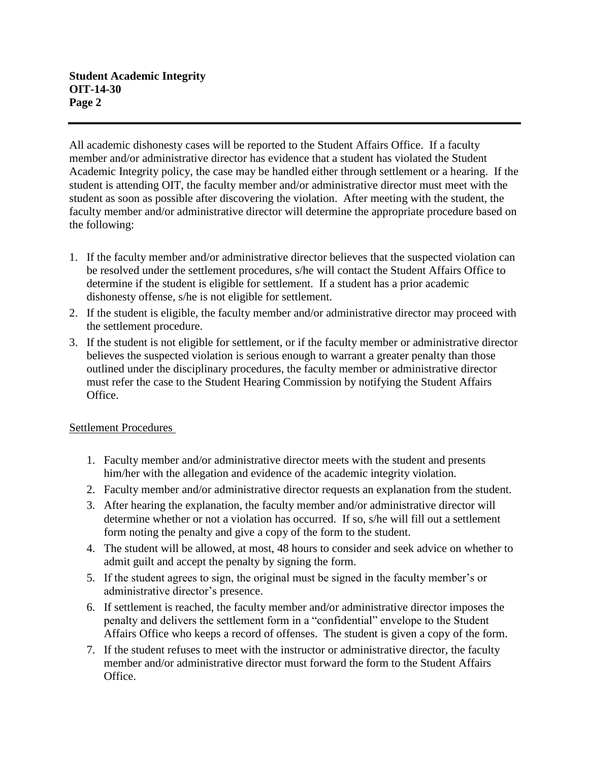All academic dishonesty cases will be reported to the Student Affairs Office. If a faculty member and/or administrative director has evidence that a student has violated the Student Academic Integrity policy, the case may be handled either through settlement or a hearing. If the student is attending OIT, the faculty member and/or administrative director must meet with the student as soon as possible after discovering the violation. After meeting with the student, the faculty member and/or administrative director will determine the appropriate procedure based on the following:

- 1. If the faculty member and/or administrative director believes that the suspected violation can be resolved under the settlement procedures, s/he will contact the Student Affairs Office to determine if the student is eligible for settlement. If a student has a prior academic dishonesty offense, s/he is not eligible for settlement.
- 2. If the student is eligible, the faculty member and/or administrative director may proceed with the settlement procedure.
- 3. If the student is not eligible for settlement, or if the faculty member or administrative director believes the suspected violation is serious enough to warrant a greater penalty than those outlined under the disciplinary procedures, the faculty member or administrative director must refer the case to the Student Hearing Commission by notifying the Student Affairs Office.

# Settlement Procedures

- 1. Faculty member and/or administrative director meets with the student and presents him/her with the allegation and evidence of the academic integrity violation.
- 2. Faculty member and/or administrative director requests an explanation from the student.
- 3. After hearing the explanation, the faculty member and/or administrative director will determine whether or not a violation has occurred. If so, s/he will fill out a settlement form noting the penalty and give a copy of the form to the student.
- 4. The student will be allowed, at most, 48 hours to consider and seek advice on whether to admit guilt and accept the penalty by signing the form.
- 5. If the student agrees to sign, the original must be signed in the faculty member's or administrative director's presence.
- 6. If settlement is reached, the faculty member and/or administrative director imposes the penalty and delivers the settlement form in a "confidential" envelope to the Student Affairs Office who keeps a record of offenses. The student is given a copy of the form.
- 7. If the student refuses to meet with the instructor or administrative director, the faculty member and/or administrative director must forward the form to the Student Affairs Office.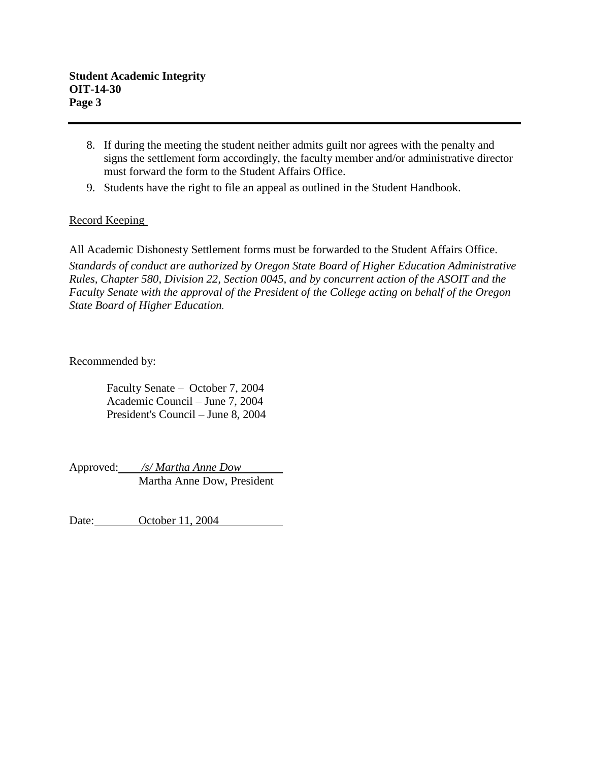- 8. If during the meeting the student neither admits guilt nor agrees with the penalty and signs the settlement form accordingly, the faculty member and/or administrative director must forward the form to the Student Affairs Office.
- 9. Students have the right to file an appeal as outlined in the Student Handbook.

# Record Keeping

All Academic Dishonesty Settlement forms must be forwarded to the Student Affairs Office. *Standards of conduct are authorized by Oregon State Board of Higher Education Administrative Rules, Chapter 580, Division 22, Section 0045, and by concurrent action of the ASOIT and the Faculty Senate with the approval of the President of the College acting on behalf of the Oregon State Board of Higher Education.*

Recommended by:

Faculty Senate – October 7, 2004 Academic Council – June 7, 2004 President's Council – June 8, 2004

Approved: */s/ Martha Anne Dow* Martha Anne Dow, President

Date: October 11, 2004